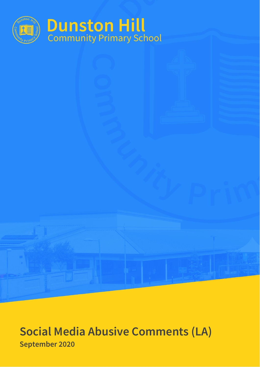

# **Social Media Abusive Comments (LA) September 2020**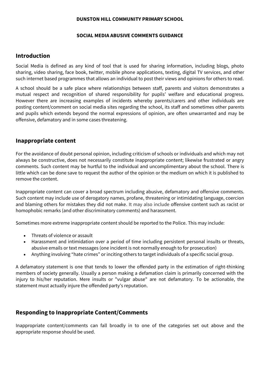### **DUNSTON HILL COMMUNITY PRIMARY SCHOOL**

### **SOCIAL MEDIA ABUSIVE COMMENTS GUIDANCE**

## **Introduction**

Social Media is defined as any kind of tool that is used for sharing information, including blogs, photo sharing, video sharing, face book, twitter, mobile phone applications, texting, digital TV services, and other such internet based programmes that allows an individual to post their views and opinions for others to read.

A school should be a safe place where relationships between staff, parents and visitors demonstrates a mutual respect and recognition of shared responsibility for pupils' welfare and educational progress. However there are increasing examples of incidents whereby parents/carers and other individuals are posting content/comment on social media sites regarding the school, its staff and sometimes other parents and pupils which extends beyond the normal expressions of opinion, are often unwarranted and may be offensive, defamatory and in some cases threatening.

## **Inappropriate content**

For the avoidance of doubt personal opinion, including criticism of schools or individuals and which may not always be constructive, does not necessarily constitute inappropriate content; likewise frustrated or angry comments. Such content may be hurtful to the individual and uncomplimentary about the school. There is little which can be done save to request the author of the opinion or the medium on which it is published to remove the content.

Inappropriate content can cover a broad spectrum including abusive, defamatory and offensive comments. Such content may include use of derogatory names, profane, threatening or intimidating language, coercion and blaming others for mistakes they did not make. It may also include offensive content such as racist or homophobic remarks (and other discriminatory comments) and harassment.

Sometimes more extreme inappropriate content should be reported to the Police. This may include:

- Threats of violence or assault
- Harassment and intimidation over a period of time including persistent personal insults or threats, abusive emails or text messages (one incident is not normally enough to for prosecution)
- Anything involving "hate crimes" or inciting others to target individuals of a specific social group.

A defamatory statement is one that tends to lower the offended party in the estimation of right-thinking members of society generally. Usually a person making a defamation claim is primarily concerned with the injury to his/her reputation. Mere insults or "vulgar abuse" are not defamatory. To be actionable, the statement must actually injure the offended party's reputation.

# **Responding to Inappropriate Content/Comments**

Inappropriate content/comments can fall broadly in to one of the categories set out above and the appropriate response should be used.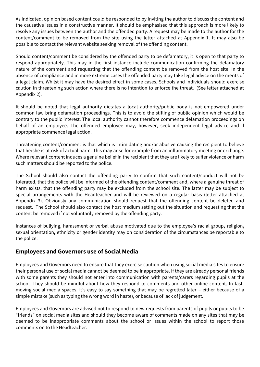As indicated, opinion based content could be responded to by inviting the author to discuss the content and the causative issues in a constructive manner. It should be emphasised that this approach is more likely to resolve any issues between the author and the offended party. A request may be made to the author for the content/comment to be removed from the site using the letter attached at Appendix 1. It may also be possible to contact the relevant website seeking removal of the offending content.

Should content/comment be considered by the offended party to be defamatory, it is open to that party to respond appropriately. This may in the first instance include communication confirming the defamatory nature of the comment and requesting that the offending content be removed from the host site. In the absence of compliance and in more extreme cases the offended party may take legal advice on the merits of a legal claim. Whilst it may have the desired effect in some cases, Schools and individuals should exercise caution in threatening such action where there is no intention to enforce the threat. (See letter attached at Appendix 2).

It should be noted that legal authority dictates a local authority/public body is not empowered under common law bring defamation proceedings. This is to avoid the stifling of public opinion which would be contrary to the public interest. The local authority cannot therefore commence defamation proceedings on behalf of an employee. The offended employee may, however, seek independent legal advice and if appropriate commence legal action.

Threatening content/comment is that which is intimidating and/or abusive causing the recipient to believe that he/she is at risk of actual harm. This may arise for example from an inflammatory meeting or exchange. Where relevant content induces a genuine belief in the recipient that they are likely to suffer violence or harm such matters should be reported to the police.

The School should also contact the offending party to confirm that such content/conduct will not be tolerated, that the police will be informed of the offending content/comment and, where a genuine threat of harm exists, that the offending party may be excluded from the school site. The latter may be subject to special arrangements with the Headteacher and will be reviewed on a regular basis (letter attached at Appendix 3). Obviously any communication should request that the offending content be deleted and request. The School should also contact the host medium setting out the situation and requesting that the content be removed if not voluntarily removed by the offending party.

Instances of bullying, harassment or verbal abuse motivated due to the employee's [racial group](http://en.wikipedia.org/wiki/Race_(classification_of_humans))**,** [religion](http://en.wikipedia.org/wiki/Religion)**,**  [sexual orientation](http://en.wikipedia.org/wiki/Sexual_orientation)**,** [ethnicity](http://en.wikipedia.org/wiki/Ethnicity) or gender identity may on consideration of the circumstances be reportable to the police.

# **Employees and Governors use of Social Media**

Employees and Governors need to ensure that they exercise caution when using social media sites to ensure their personal use of social media cannot be deemed to be inappropriate. If they are already personal friends with some parents they should not enter into communication with parents/carers regarding pupils at the school. They should be mindful about how they respond to comments and other online content. In fastmoving social media spaces, it's easy to say something that may be regretted later – either because of a simple mistake (such as typing the wrong word in haste), or because of lack of judgement.

Employees and Governors are advised not to respond to new requests from parents of pupils or pupils to be "friends" on social media sites and should they become aware of comments made on any sites that may be deemed to be inappropriate comments about the school or issues within the school to report those comments on to the Headteacher.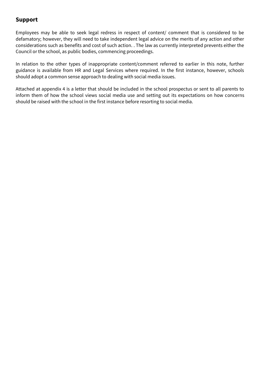# **Support**

Employees may be able to seek legal redress in respect of content/ comment that is considered to be defamatory; however, they will need to take independent legal advice on the merits of any action and other considerations such as benefits and cost of such action. . The law as currently interpreted prevents either the Council or the school, as public bodies, commencing proceedings.

In relation to the other types of inappropriate content/comment referred to earlier in this note, further guidance is available from HR and Legal Services where required. In the first instance, however, schools should adopt a common sense approach to dealing with social media issues.

Attached at appendix 4 is a letter that should be included in the school prospectus or sent to all parents to inform them of how the school views social media use and setting out its expectations on how concerns should be raised with the school in the first instance before resorting to social media.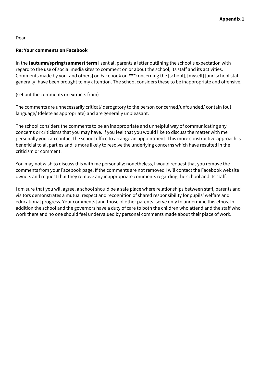## **Re: Your comments on Facebook**

In the **(autumn/spring/summer) term** I sent all parents a letter outlining the school's expectation with regard to the use of social media sites to comment on or about the school, its staff and its activities. Comments made by you [and others] on Facebook on **\*\*\***concerning the [school], [myself] [and school staff generally] have been brought to my attention. The school considers these to be inappropriate and offensive.

(set out the comments or extracts from)

The comments are unnecessarily critical/ derogatory to the person concerned/unfounded/ contain foul language/ (delete as appropriate) and are generally unpleasant.

The school considers the comments to be an inappropriate and unhelpful way of communicating any concerns or criticisms that you may have. If you feel that you would like to discuss the matter with me personally you can contact the school office to arrange an appointment. This more constructive approach is beneficial to all parties and is more likely to resolve the underlying concerns which have resulted in the criticism or comment.

You may not wish to discuss this with me personally; nonetheless, I would request that you remove the comments from your Facebook page. If the comments are not removed I will contact the Facebook website owners and request that they remove any inappropriate comments regarding the school and its staff.

I am sure that you will agree, a school should be a safe place where relationships between staff, parents and visitors demonstrates a mutual respect and recognition of shared responsibility for pupils' welfare and educational progress. Your comments [and those of other parents] serve only to undermine this ethos. In addition the school and the governors have a duty of care to both the children who attend and the staff who work there and no one should feel undervalued by personal comments made about their place of work.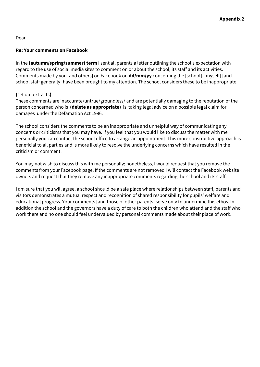## **Re: Your comments on Facebook**

In the **(autumn/spring/summer) term** I sent all parents a letter outlining the school's expectation with regard to the use of social media sites to comment on or about the school, its staff and its activities. Comments made by you [and others] on Facebook on **dd/mm/yy** concerning the [school], [myself] [and school staff generally] have been brought to my attention. The school considers these to be inappropriate.

## **(**set out extracts**)**

These comments are inaccurate/untrue/groundless/ and are potentially damaging to the reputation of the person concerned who is **(delete as appropriate)** is taking legal advice on a possible legal claim for damages under the Defamation Act 1996.

The school considers the comments to be an inappropriate and unhelpful way of communicating any concerns or criticisms that you may have. If you feel that you would like to discuss the matter with me personally you can contact the school office to arrange an appointment. This more constructive approach is beneficial to all parties and is more likely to resolve the underlying concerns which have resulted in the criticism or comment.

You may not wish to discuss this with me personally; nonetheless, I would request that you remove the comments from your Facebook page. If the comments are not removed I will contact the Facebook website owners and request that they remove any inappropriate comments regarding the school and its staff.

I am sure that you will agree, a school should be a safe place where relationships between staff, parents and visitors demonstrates a mutual respect and recognition of shared responsibility for pupils' welfare and educational progress. Your comments [and those of other parents] serve only to undermine this ethos. In addition the school and the governors have a duty of care to both the children who attend and the staff who work there and no one should feel undervalued by personal comments made about their place of work.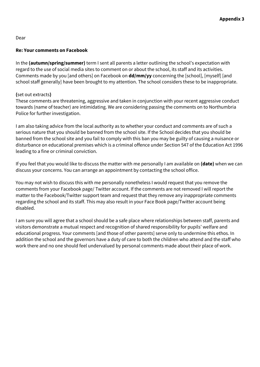## **Re: Your comments on Facebook**

In the **(autumn/spring/summer)** term I sent all parents a letter outlining the school's expectation with regard to the use of social media sites to comment on or about the school, its staff and its activities. Comments made by you [and others] on Facebook on **dd/mm/yy** concerning the [school], [myself] [and school staff generally] have been brought to my attention. The school considers these to be inappropriate.

## **(**set out extracts**)**

These comments are threatening, aggressive and taken in conjunction with your recent aggressive conduct towards (name of teacher) are intimidating. We are considering passing the comments on to Northumbria Police for further investigation.

I am also taking advice from the local authority as to whether your conduct and comments are of such a serious nature that you should be banned from the school site. If the School decides that you should be banned from the school site and you fail to comply with this ban you may be guilty of causing a nuisance or disturbance on educational premises which is a criminal offence under Section 547 of the Education Act 1996 leading to a fine or criminal conviction.

If you feel that you would like to discuss the matter with me personally I am available on **(date)** when we can discuss your concerns. You can arrange an appointment by contacting the school office.

You may not wish to discuss this with me personally nonetheless I would request that you remove the comments from your Facebook page/ Twitter account. If the comments are not removed I will report the matter to the Facebook/Twitter support team and request that they remove any inappropriate comments regarding the school and its staff. This may also result in your Face Book page/Twitter account being disabled.

I am sure you will agree that a school should be a safe place where relationships between staff, parents and visitors demonstrate a mutual respect and recognition of shared responsibility for pupils' welfare and educational progress. Your comments [and those of other parents] serve only to undermine this ethos. In addition the school and the governors have a duty of care to both the children who attend and the staff who work there and no one should feel undervalued by personal comments made about their place of work.